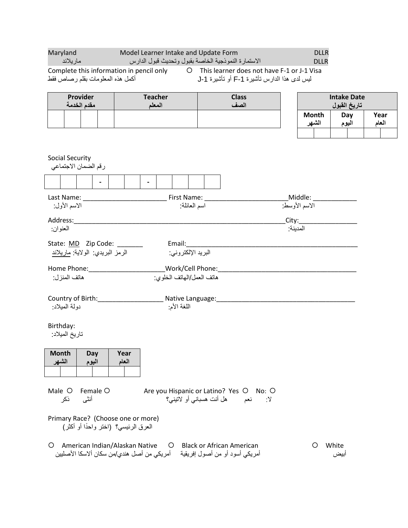| Maryland<br>مار يلاند                                                      | Model Learner Intake and Update Form<br>الاستمارة النموذجية الخاصة بقبول وتحديث قبول الدارس |                                                                                             | <b>DLLR</b><br><b>DLLR</b>         |       |
|----------------------------------------------------------------------------|---------------------------------------------------------------------------------------------|---------------------------------------------------------------------------------------------|------------------------------------|-------|
| أكمل هذه المعلومات بقلم رصاص فقط                                           | Complete this information in pencil only                                                    | O This learner does not have F-1 or J-1 Visa<br>ليس لدى هذا الدارس تأشيرة F-1 أو تأشيرة J-1 |                                    |       |
| Provider<br>مقدم الخدمة                                                    | <b>Teacher</b><br>المعلم                                                                    | <b>Class</b><br>الصف                                                                        | <b>Intake Date</b><br>تاريخ القبول |       |
|                                                                            |                                                                                             |                                                                                             | <b>Month</b><br>Day                | Year  |
|                                                                            |                                                                                             |                                                                                             | الشهر<br>اليوم                     | العام |
|                                                                            |                                                                                             |                                                                                             |                                    |       |
| <b>Social Security</b><br>رقم الضمان الاجتماعي                             |                                                                                             |                                                                                             |                                    |       |
|                                                                            |                                                                                             |                                                                                             |                                    |       |
| Last Name:<br>الاسم الأول:                                                 | First Name:<br>اسم العائلة:                                                                 |                                                                                             | الاسم الأوسط:                      |       |
| Address:                                                                   |                                                                                             |                                                                                             |                                    |       |
| العنوان:                                                                   |                                                                                             |                                                                                             | المدبنة:                           |       |
| State: <u>MD</u> Zip Code: _______<br>الرمز البريدي: الولاية: ماريلاند     | Email:<br>البريد الإلكتروني:                                                                |                                                                                             |                                    |       |
|                                                                            | Home Phone: ____________________________Work/Cell Phone:                                    |                                                                                             |                                    |       |
| هاتف المنز ل:                                                              | هاتف العمل/المهاتف الخلوي:                                                                  |                                                                                             |                                    |       |
| Country of Birth:<br>دولة الميلاد:                                         | Native Language:<br>اللغة الأم:                                                             |                                                                                             |                                    |       |
| Birthday:<br>تاريخ الميلاد:                                                |                                                                                             |                                                                                             |                                    |       |
| <b>Month</b><br>Day                                                        | Year                                                                                        |                                                                                             |                                    |       |
| الشهر<br>اليوم                                                             | العام                                                                                       |                                                                                             |                                    |       |
| Male O<br>Female O<br>أنثى<br>ذكر                                          |                                                                                             | Are you Hispanic or Latino? Yes O<br>No: O<br>هل أنت هسباني أو لاتيني؟<br>نعم<br>. Y        |                                    |       |
| Primary Race? (Choose one or more)<br>العرق الرئيسي؟ (اختر واحدًا أو أكثر) |                                                                                             |                                                                                             |                                    |       |
| American Indian/Alaskan Native<br>O                                        | Ő<br>أمريكي أسود أو من أصول إفريقية       أمريكي من أصل هندي/من سكان ألاسكا الأصليين        | Black or African American                                                                   | O<br>White<br>أبيض                 |       |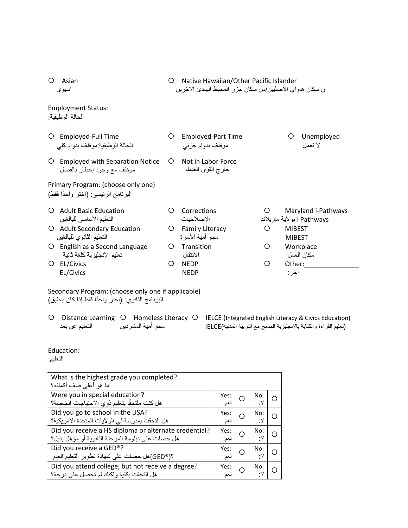| ∩ | Asian<br>اسيوى                                                            | Native Hawaiian/Other Pacific Islander<br>O<br>ن سكان هاواي الأصليين/من سكان جزر المحيط الهادئ الآخرين |                                              |         |                                                   |  |
|---|---------------------------------------------------------------------------|--------------------------------------------------------------------------------------------------------|----------------------------------------------|---------|---------------------------------------------------|--|
|   | <b>Employment Status:</b><br>الحالة الوظيفية:                             |                                                                                                        |                                              |         |                                                   |  |
|   | O Employed-Full Time<br>الحالة الوظيفية موظف بدوام كلي                    | O                                                                                                      | <b>Employed-Part Time</b><br>موظف بدوام جزئي |         | Unemployed<br>O<br>لا تعمل                        |  |
|   | O Employed with Separation Notice<br>موظف مع وجود إخطار بالفصل            | $\circ$                                                                                                | Not in Labor Force<br>خارج القوى العاملة     |         |                                                   |  |
|   | Primary Program: (choose only one)<br>البرنامج الرئيسي: (اختر واحدًا فقط) |                                                                                                        |                                              |         |                                                   |  |
| O | <b>Adult Basic Education</b><br>التعليم الأساسي للبالغين                  | O                                                                                                      | Corrections<br>الإصلاحيات                    | O       | Maryland i-Pathways<br>i-Pathways بولاية ماريلاند |  |
|   | O Adult Secondary Education<br>التعليم الثانوي للبالغين                   | $\circ$                                                                                                | <b>Family Literacy</b><br>محو أمية الأسر ة   | $\circ$ | <b>MIBEST</b><br><b>MIBEST</b>                    |  |
|   | O English as a Second Language<br>تعليم الإنجليزية كلغة ثانية             | O                                                                                                      | Transition<br>الانتقال                       | Ο       | Workplace<br>مكان العمل                           |  |
| O | <b>EL/Civics</b><br>EL/Civics                                             | O                                                                                                      | <b>NFDP</b><br><b>NEDP</b>                   | O       | Other:<br>أخر                                     |  |

Secondary Program: (choose only one if applicable) ً البرنامج الثانوي: (اختر واحدا فقط إذا كان ینطبق)

O Distance Learning O Homeless Literacy O IELCE (Integrated English Literacy & Civics Education)<br>(تعليم القراءة والكتابة بالإنجليزية المدمج مع التربية المدنية)IELCE

(تعلیم القراءة والكتابة بالإنجلیزیة المدمج مع التربیة المدنیة)IELCE محو أمیة المشردین التعلیم عن بعد

## Education:

التعلیم:

| What is the highest grade you completed?<br>ما هو أعلى صف أكملته؟                                          |              |   |            |   |
|------------------------------------------------------------------------------------------------------------|--------------|---|------------|---|
| Were you in special education?<br>هل كنت ملتحقًا بتعليم ذوي الاحتياجات الخاصة؟                             | Yes:<br>نعم: |   | No:<br>۰۷  |   |
| Did you go to school in the USA?<br>هل النحقت بمدرسة في الولايات المتحدة الأمريكية؟                        | Yes:<br>نعم: | ∩ | No:<br>۰۷  | ∩ |
| Did you receive a HS diploma or alternate credential?<br>هل حصلت على دبلومة المرحلة الثانوية أو مؤهل بديل؟ | Yes:<br>نعم: | ∩ | No:<br>۰۷. | ∩ |
| Did you receive a GED®?<br>؟(@GED)هل حصلت على شهادة تطوير التعليم العام                                    | Yes:<br>نعم: | ◯ | No:<br>۰۷  |   |
| Did you attend college, but not receive a degree?<br>هل النحقت بكلية ولكنك لم تحصل على درجة؟               | Yes:<br>نعم: | ∩ | No:<br>۰۷. |   |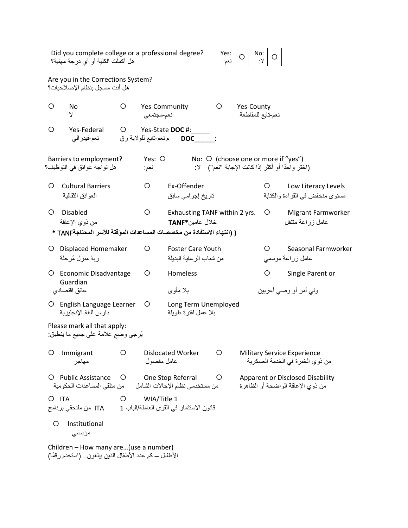|         | Did you complete college or a professional degree?<br>هل أكملت الكلية أو أي درجة مهنية؟                   |    |                         |                                                      | Yes:<br>نعم:                                                                            | O          | No:<br>۰Y:        | О |                                                                          |
|---------|-----------------------------------------------------------------------------------------------------------|----|-------------------------|------------------------------------------------------|-----------------------------------------------------------------------------------------|------------|-------------------|---|--------------------------------------------------------------------------|
|         | Are you in the Corrections System?<br>هل أنت مسجل بنظام الإصلاحيات؟                                       |    |                         |                                                      |                                                                                         |            |                   |   |                                                                          |
| $\circ$ | No<br>V                                                                                                   | O  | نعم-مجتمعي              | Yes-Community                                        | $\circ$                                                                                 | Yes-County | نعم-تابع للمقاطعة |   |                                                                          |
| O       | Yes-Federal<br>نعم-فيدر الي                                                                               | O. | م نعم-تابع للولاية رق   | Yes-State DOC #:<br><b>DOC</b>                       |                                                                                         |            |                   |   |                                                                          |
|         | Barriers to employment?<br>هل تواجه عوائق في التوظيف؟                                                     |    | Yes: $\bigcirc$<br>نعم: |                                                      | No: O (choose one or more if "yes")<br>(اختر واحدًا أو أكثر إذا كانت الإجابة "نعم") لا: |            |                   |   |                                                                          |
| O       | <b>Cultural Barriers</b><br>المعوائق الثقافية                                                             |    | $\circ$                 | Ex-Offender<br>تاريخ إجرامي سابق                     |                                                                                         |            | O                 |   | Low Literacy Levels<br>مستوى منخفض في القراءة والكتابة                   |
| O       | <b>Disabled</b><br>من ذوي الإعاقة<br>J (النهاء الاستفادة من مخصصات المساعدات المؤقتة للأسر المحتاجةTANF * |    | O                       | Exhausting TANF within 2 yrs.<br>خلال عامين*TANF     |                                                                                         |            | O                 |   | Migrant Farmworker<br>عامل زراعة متنقل                                   |
|         | O Displaced Homemaker<br>ربة منزل مُرحلة                                                                  |    | O                       | <b>Foster Care Youth</b><br>من شباب الر عاية البديلة |                                                                                         |            | O                 |   | Seasonal Farmworker<br>عامل زراعة موسمى                                  |
|         | O Economic Disadvantage<br>Guardian<br>عائق اقتصادى                                                       |    | O                       | Homeless<br>بلا مأوى                                 |                                                                                         |            | O                 |   | Single Parent or<br>ولمي أمر أو وصبي أعزبين                              |
|         | O English Language Learner<br>دارس للغة الإنجليزية                                                        |    | O                       | Long Term Unemployed<br>بلا عمل لفترة طويلة          |                                                                                         |            |                   |   |                                                                          |
|         | Please mark all that apply:<br>يُرجى وضع علامة على جميع ما ينطبق:                                         |    |                         |                                                      |                                                                                         |            |                   |   |                                                                          |
| O       | Immigrant<br>مهاجر                                                                                        | O  | عامل مفصول              | <b>Dislocated Worker</b>                             | $\circ$                                                                                 |            |                   |   | <b>Military Service Experience</b><br>من ذو ي الخبر ة في الخدمة العسكرية |
|         | O Public Assistance<br>من متلقى المساعدات الحكومية                                                        | O  |                         | One Stop Referral<br>من مستخدمي نظام الإحالات الشامل | O                                                                                       |            |                   |   | Apparent or Disclosed Disability<br>من ذوي الإعاقة الواضحة أو الظاهرة    |
|         | $O$ ITA<br>ITA من ملتحقي برنامج                                                                           | O  | WIA/Title 1             | قانون الاستثمار في القوى العاملة/الباب 1             |                                                                                         |            |                   |   |                                                                          |
| Ő       | Institutional<br>مؤسسى                                                                                    |    |                         |                                                      |                                                                                         |            |                   |   |                                                                          |
|         | Children - How many are (use a number)<br>الأطفال ــ كم عدد الأطفال الذين يبلغون(استخدم رقمًا)            |    |                         |                                                      |                                                                                         |            |                   |   |                                                                          |